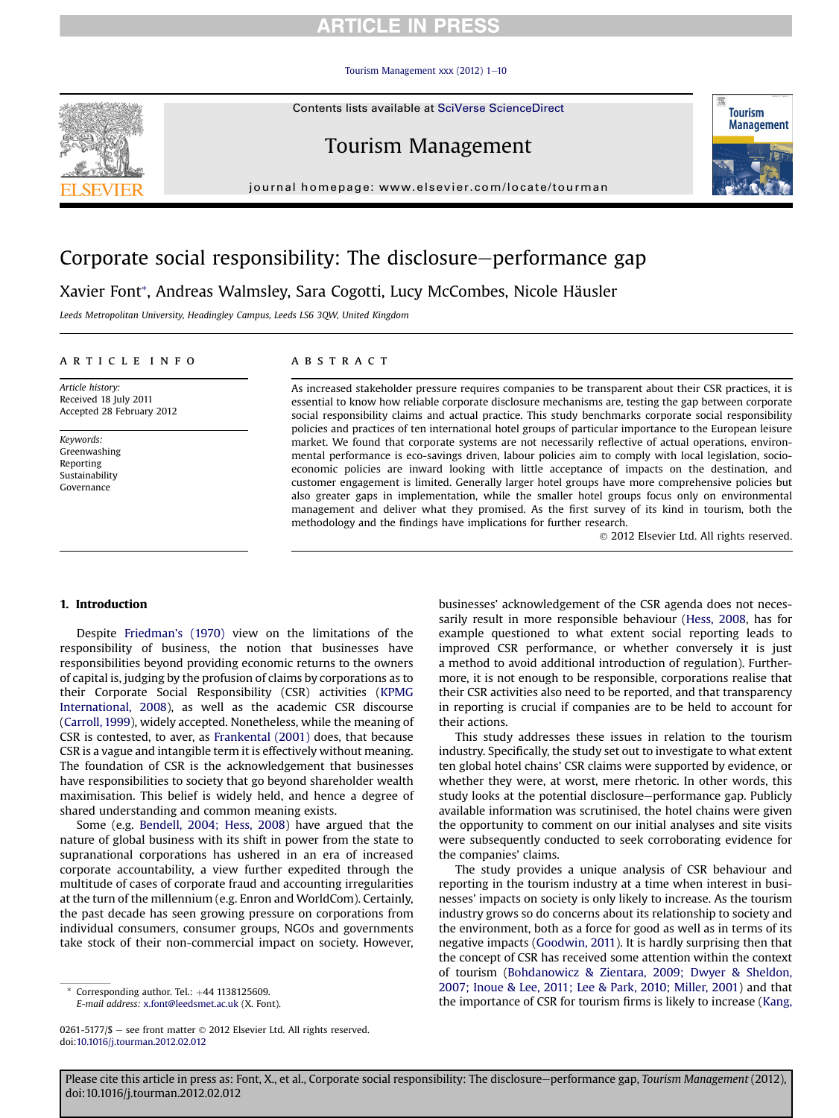# **RTICLE IN PRESS**

#### Tourism Management xxx  $(2012)$  1-[10](http://dx.doi.org/10.1016/j.tourman.2012.02.012)

Contents lists available at SciVerse ScienceDirect



Tourism Management

journal homepage: [www.elsevier.com/locate/tourman](http://www.elsevier.com/locate/tourman)



# Corporate social responsibility: The disclosure–performance gap

Xavier Font\*, Andreas Walmsley, Sara Cogotti, Lucy McCombes, Nicole Häusler

Leeds Metropolitan University, Headingley Campus, Leeds LS6 3QW, United Kingdom

#### article info

Article history: Received 18 July 2011 Accepted 28 February 2012

Keywords: Greenwashing Reporting Sustainability Governance

## **ABSTRACT**

As increased stakeholder pressure requires companies to be transparent about their CSR practices, it is essential to know how reliable corporate disclosure mechanisms are, testing the gap between corporate social responsibility claims and actual practice. This study benchmarks corporate social responsibility policies and practices of ten international hotel groups of particular importance to the European leisure market. We found that corporate systems are not necessarily reflective of actual operations, environmental performance is eco-savings driven, labour policies aim to comply with local legislation, socioeconomic policies are inward looking with little acceptance of impacts on the destination, and customer engagement is limited. Generally larger hotel groups have more comprehensive policies but also greater gaps in implementation, while the smaller hotel groups focus only on environmental management and deliver what they promised. As the first survey of its kind in tourism, both the methodology and the findings have implications for further research.

2012 Elsevier Ltd. All rights reserved.

# 1. Introduction

Despite [Friedman](#page-9-0)'s (1970) view on the limitations of the responsibility of business, the notion that businesses have responsibilities beyond providing economic returns to the owners of capital is, judging by the profusion of claims by corporations as to their Corporate Social Responsibility (CSR) activities [\(KPMG](#page-9-0) [International, 2008](#page-9-0)), as well as the academic CSR discourse ([Carroll, 1999\)](#page-9-0), widely accepted. Nonetheless, while the meaning of CSR is contested, to aver, as [Frankental \(2001\)](#page-9-0) does, that because CSR is a vague and intangible term it is effectively without meaning. The foundation of CSR is the acknowledgement that businesses have responsibilities to society that go beyond shareholder wealth maximisation. This belief is widely held, and hence a degree of shared understanding and common meaning exists.

Some (e.g. [Bendell, 2004; Hess, 2008\)](#page-9-0) have argued that the nature of global business with its shift in power from the state to supranational corporations has ushered in an era of increased corporate accountability, a view further expedited through the multitude of cases of corporate fraud and accounting irregularities at the turn of the millennium (e.g. Enron and WorldCom). Certainly, the past decade has seen growing pressure on corporations from individual consumers, consumer groups, NGOs and governments take stock of their non-commercial impact on society. However,

businesses' acknowledgement of the CSR agenda does not necessarily result in more responsible behaviour [\(Hess, 2008,](#page-9-0) has for example questioned to what extent social reporting leads to improved CSR performance, or whether conversely it is just a method to avoid additional introduction of regulation). Furthermore, it is not enough to be responsible, corporations realise that their CSR activities also need to be reported, and that transparency in reporting is crucial if companies are to be held to account for their actions.

This study addresses these issues in relation to the tourism industry. Specifically, the study set out to investigate to what extent ten global hotel chains' CSR claims were supported by evidence, or whether they were, at worst, mere rhetoric. In other words, this study looks at the potential disclosure–performance gap. Publicly available information was scrutinised, the hotel chains were given the opportunity to comment on our initial analyses and site visits were subsequently conducted to seek corroborating evidence for the companies' claims.

The study provides a unique analysis of CSR behaviour and reporting in the tourism industry at a time when interest in businesses' impacts on society is only likely to increase. As the tourism industry grows so do concerns about its relationship to society and the environment, both as a force for good as well as in terms of its negative impacts ([Goodwin, 2011](#page-9-0)). It is hardly surprising then that the concept of CSR has received some attention within the context of tourism ([Bohdanowicz & Zientara, 2009; Dwyer & Sheldon,](#page-9-0) [2007; Inoue & Lee, 2011; Lee & Park, 2010; Miller, 2001\)](#page-9-0) and that the importance of CSR for tourism firms is likely to increase ([Kang,](#page-9-0)

Corresponding author. Tel.:  $+44$  1138125609. E-mail address: [x.font@leedsmet.ac.uk](mailto:x.font@leedsmet.ac.uk) (X. Font).

<sup>0261-5177/\$</sup>  $-$  see front matter  $\odot$  2012 Elsevier Ltd. All rights reserved. doi[:10.1016/j.tourman.2012.02.012](http://dx.doi.org/10.1016/j.tourman.2012.02.012)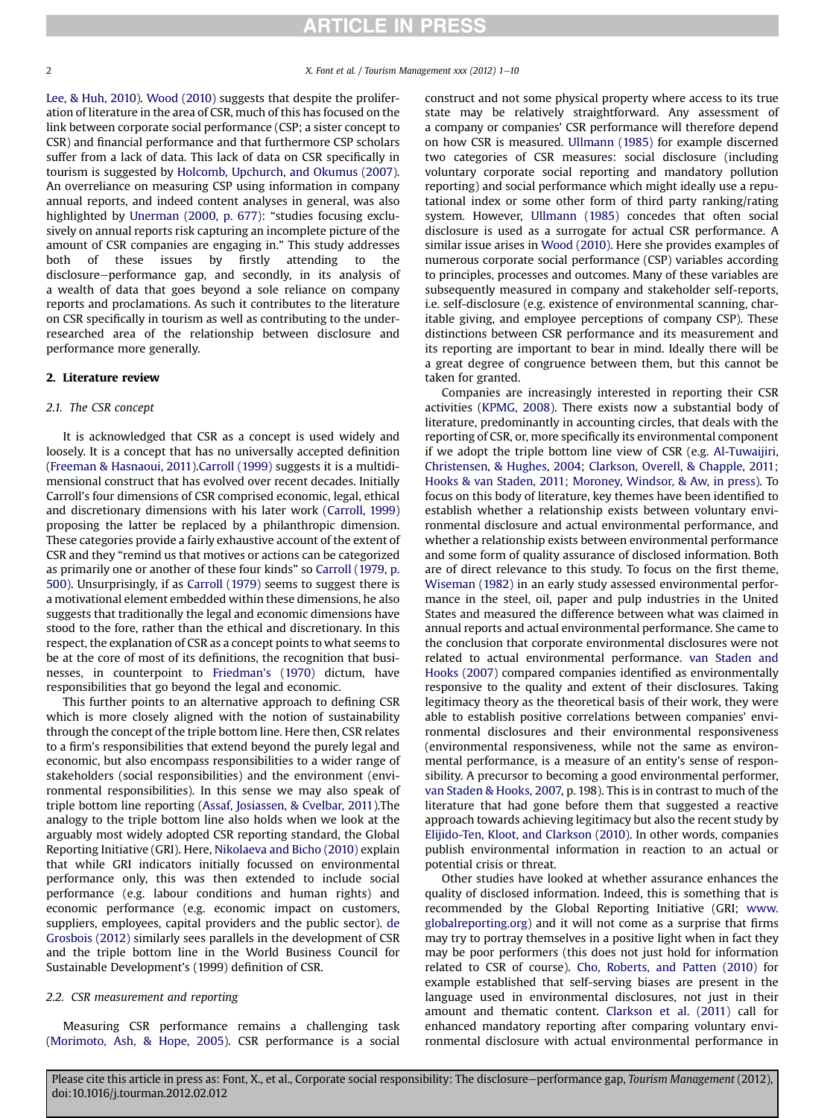[Lee, & Huh, 2010\)](#page-9-0). [Wood \(2010\)](#page-9-0) suggests that despite the proliferation of literature in the area of CSR, much of this has focused on the link between corporate social performance (CSP; a sister concept to CSR) and financial performance and that furthermore CSP scholars suffer from a lack of data. This lack of data on CSR specifically in tourism is suggested by [Holcomb, Upchurch, and Okumus \(2007\).](#page-9-0) An overreliance on measuring CSP using information in company annual reports, and indeed content analyses in general, was also highlighted by [Unerman \(2000, p. 677\):](#page-9-0) "studies focusing exclusively on annual reports risk capturing an incomplete picture of the amount of CSR companies are engaging in." This study addresses both of these issues by firstly attending to the disclosure-performance gap, and secondly, in its analysis of a wealth of data that goes beyond a sole reliance on company reports and proclamations. As such it contributes to the literature on CSR specifically in tourism as well as contributing to the underresearched area of the relationship between disclosure and performance more generally.

## 2. Literature review

#### 2.1. The CSR concept

It is acknowledged that CSR as a concept is used widely and loosely. It is a concept that has no universally accepted definition ([Freeman & Hasnaoui, 2011](#page-9-0))[.Carroll \(1999\)](#page-9-0) suggests it is a multidimensional construct that has evolved over recent decades. Initially Carroll's four dimensions of CSR comprised economic, legal, ethical and discretionary dimensions with his later work [\(Carroll, 1999\)](#page-9-0) proposing the latter be replaced by a philanthropic dimension. These categories provide a fairly exhaustive account of the extent of CSR and they "remind us that motives or actions can be categorized as primarily one or another of these four kinds" so [Carroll \(1979, p.](#page-9-0) [500\)](#page-9-0). Unsurprisingly, if as [Carroll \(1979\)](#page-9-0) seems to suggest there is a motivational element embedded within these dimensions, he also suggests that traditionally the legal and economic dimensions have stood to the fore, rather than the ethical and discretionary. In this respect, the explanation of CSR as a concept points to what seems to be at the core of most of its definitions, the recognition that businesses, in counterpoint to [Friedman](#page-9-0)'s (1970) dictum, have responsibilities that go beyond the legal and economic.

This further points to an alternative approach to defining CSR which is more closely aligned with the notion of sustainability through the concept of the triple bottom line. Here then, CSR relates to a firm's responsibilities that extend beyond the purely legal and economic, but also encompass responsibilities to a wider range of stakeholders (social responsibilities) and the environment (environmental responsibilities). In this sense we may also speak of triple bottom line reporting ([Assaf, Josiassen, & Cvelbar, 2011](#page-9-0)).The analogy to the triple bottom line also holds when we look at the arguably most widely adopted CSR reporting standard, the Global Reporting Initiative (GRI). Here, [Nikolaeva and Bicho \(2010\)](#page-9-0) explain that while GRI indicators initially focussed on environmental performance only, this was then extended to include social performance (e.g. labour conditions and human rights) and economic performance (e.g. economic impact on customers, suppliers, employees, capital providers and the public sector). [de](#page-9-0) [Grosbois \(2012\)](#page-9-0) similarly sees parallels in the development of CSR and the triple bottom line in the World Business Council for Sustainable Development's (1999) definition of CSR.

## 2.2. CSR measurement and reporting

Measuring CSR performance remains a challenging task ([Morimoto, Ash, & Hope, 2005](#page-9-0)). CSR performance is a social construct and not some physical property where access to its true state may be relatively straightforward. Any assessment of a company or companies' CSR performance will therefore depend on how CSR is measured. [Ullmann \(1985\)](#page-9-0) for example discerned two categories of CSR measures: social disclosure (including voluntary corporate social reporting and mandatory pollution reporting) and social performance which might ideally use a reputational index or some other form of third party ranking/rating system. However, [Ullmann \(1985\)](#page-9-0) concedes that often social disclosure is used as a surrogate for actual CSR performance. A similar issue arises in [Wood \(2010\)](#page-9-0). Here she provides examples of numerous corporate social performance (CSP) variables according to principles, processes and outcomes. Many of these variables are subsequently measured in company and stakeholder self-reports, i.e. self-disclosure (e.g. existence of environmental scanning, charitable giving, and employee perceptions of company CSP). These distinctions between CSR performance and its measurement and its reporting are important to bear in mind. Ideally there will be a great degree of congruence between them, but this cannot be taken for granted.

Companies are increasingly interested in reporting their CSR activities [\(KPMG, 2008\)](#page-9-0). There exists now a substantial body of literature, predominantly in accounting circles, that deals with the reporting of CSR, or, more specifically its environmental component if we adopt the triple bottom line view of CSR (e.g. [Al-Tuwaijiri,](#page-9-0) [Christensen, & Hughes, 2004; Clarkson, Overell, & Chapple, 2011;](#page-9-0) [Hooks & van Staden, 2011; Moroney, Windsor, & Aw, in press](#page-9-0)). To focus on this body of literature, key themes have been identified to establish whether a relationship exists between voluntary environmental disclosure and actual environmental performance, and whether a relationship exists between environmental performance and some form of quality assurance of disclosed information. Both are of direct relevance to this study. To focus on the first theme, [Wiseman \(1982\)](#page-9-0) in an early study assessed environmental performance in the steel, oil, paper and pulp industries in the United States and measured the difference between what was claimed in annual reports and actual environmental performance. She came to the conclusion that corporate environmental disclosures were not related to actual environmental performance. [van Staden and](#page-9-0) [Hooks \(2007\)](#page-9-0) compared companies identified as environmentally responsive to the quality and extent of their disclosures. Taking legitimacy theory as the theoretical basis of their work, they were able to establish positive correlations between companies' environmental disclosures and their environmental responsiveness (environmental responsiveness, while not the same as environmental performance, is a measure of an entity's sense of responsibility. A precursor to becoming a good environmental performer, [van Staden & Hooks, 2007,](#page-9-0) p. 198). This is in contrast to much of the literature that had gone before them that suggested a reactive approach towards achieving legitimacy but also the recent study by [Elijido-Ten, Kloot, and Clarkson \(2010\)](#page-9-0). In other words, companies publish environmental information in reaction to an actual or potential crisis or threat.

Other studies have looked at whether assurance enhances the quality of disclosed information. Indeed, this is something that is recommended by the Global Reporting Initiative (GRI; [www.](http://www.globalreporting.org) [globalreporting.org\)](http://www.globalreporting.org) and it will not come as a surprise that firms may try to portray themselves in a positive light when in fact they may be poor performers (this does not just hold for information related to CSR of course). [Cho, Roberts, and Patten \(2010\)](#page-9-0) for example established that self-serving biases are present in the language used in environmental disclosures, not just in their amount and thematic content. [Clarkson et al. \(2011\)](#page-9-0) call for enhanced mandatory reporting after comparing voluntary environmental disclosure with actual environmental performance in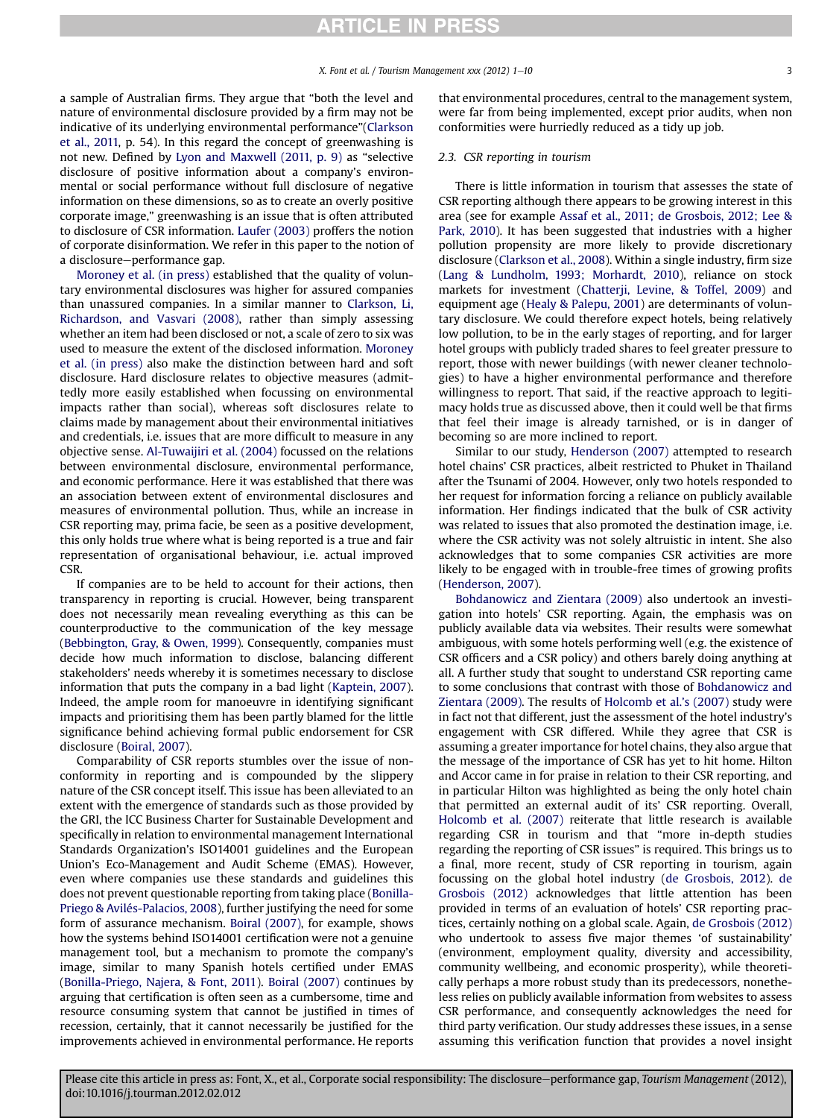a sample of Australian firms. They argue that "both the level and nature of environmental disclosure provided by a firm may not be indicative of its underlying environmental performance"([Clarkson](#page-9-0) [et al., 2011,](#page-9-0) p. 54). In this regard the concept of greenwashing is not new. Defined by [Lyon and Maxwell \(2011, p. 9\)](#page-9-0) as "selective disclosure of positive information about a company's environmental or social performance without full disclosure of negative information on these dimensions, so as to create an overly positive corporate image," greenwashing is an issue that is often attributed to disclosure of CSR information. [Laufer \(2003\)](#page-9-0) proffers the notion of corporate disinformation. We refer in this paper to the notion of a disclosure-performance gap.

[Moroney et al. \(in press\)](#page-9-0) established that the quality of voluntary environmental disclosures was higher for assured companies than unassured companies. In a similar manner to [Clarkson, Li,](#page-9-0) [Richardson, and Vasvari \(2008\),](#page-9-0) rather than simply assessing whether an item had been disclosed or not, a scale of zero to six was used to measure the extent of the disclosed information. [Moroney](#page-9-0) [et al. \(in press\)](#page-9-0) also make the distinction between hard and soft disclosure. Hard disclosure relates to objective measures (admittedly more easily established when focussing on environmental impacts rather than social), whereas soft disclosures relate to claims made by management about their environmental initiatives and credentials, i.e. issues that are more difficult to measure in any objective sense. [Al-Tuwaijiri et al. \(2004\)](#page-9-0) focussed on the relations between environmental disclosure, environmental performance, and economic performance. Here it was established that there was an association between extent of environmental disclosures and measures of environmental pollution. Thus, while an increase in CSR reporting may, prima facie, be seen as a positive development, this only holds true where what is being reported is a true and fair representation of organisational behaviour, i.e. actual improved CSR.

If companies are to be held to account for their actions, then transparency in reporting is crucial. However, being transparent does not necessarily mean revealing everything as this can be counterproductive to the communication of the key message ([Bebbington, Gray, & Owen, 1999](#page-9-0)). Consequently, companies must decide how much information to disclose, balancing different stakeholders' needs whereby it is sometimes necessary to disclose information that puts the company in a bad light ([Kaptein, 2007\)](#page-9-0). Indeed, the ample room for manoeuvre in identifying significant impacts and prioritising them has been partly blamed for the little significance behind achieving formal public endorsement for CSR disclosure [\(Boiral, 2007](#page-9-0)).

Comparability of CSR reports stumbles over the issue of nonconformity in reporting and is compounded by the slippery nature of the CSR concept itself. This issue has been alleviated to an extent with the emergence of standards such as those provided by the GRI, the ICC Business Charter for Sustainable Development and specifically in relation to environmental management International Standards Organization's ISO14001 guidelines and the European Union's Eco-Management and Audit Scheme (EMAS). However, even where companies use these standards and guidelines this does not prevent questionable reporting from taking place [\(Bonilla-](#page-9-0)[Priego & Avilés-Palacios, 2008](#page-9-0)), further justifying the need for some form of assurance mechanism. [Boiral \(2007\),](#page-9-0) for example, shows how the systems behind ISO14001 certification were not a genuine management tool, but a mechanism to promote the company's image, similar to many Spanish hotels certified under EMAS ([Bonilla-Priego, Najera, & Font, 2011](#page-9-0)). [Boiral \(2007\)](#page-9-0) continues by arguing that certification is often seen as a cumbersome, time and resource consuming system that cannot be justified in times of recession, certainly, that it cannot necessarily be justified for the improvements achieved in environmental performance. He reports

that environmental procedures, central to the management system, were far from being implemented, except prior audits, when non conformities were hurriedly reduced as a tidy up job.

### 2.3. CSR reporting in tourism

There is little information in tourism that assesses the state of CSR reporting although there appears to be growing interest in this area (see for example [Assaf et al., 2011; de Grosbois, 2012; Lee &](#page-9-0) [Park, 2010\)](#page-9-0). It has been suggested that industries with a higher pollution propensity are more likely to provide discretionary disclosure [\(Clarkson et al., 2008\)](#page-9-0). Within a single industry, firm size ([Lang & Lundholm, 1993; Morhardt, 2010](#page-9-0)), reliance on stock markets for investment ([Chatterji, Levine, & Toffel, 2009\)](#page-9-0) and equipment age ([Healy & Palepu, 2001\)](#page-9-0) are determinants of voluntary disclosure. We could therefore expect hotels, being relatively low pollution, to be in the early stages of reporting, and for larger hotel groups with publicly traded shares to feel greater pressure to report, those with newer buildings (with newer cleaner technologies) to have a higher environmental performance and therefore willingness to report. That said, if the reactive approach to legitimacy holds true as discussed above, then it could well be that firms that feel their image is already tarnished, or is in danger of becoming so are more inclined to report.

Similar to our study, [Henderson \(2007\)](#page-9-0) attempted to research hotel chains' CSR practices, albeit restricted to Phuket in Thailand after the Tsunami of 2004. However, only two hotels responded to her request for information forcing a reliance on publicly available information. Her findings indicated that the bulk of CSR activity was related to issues that also promoted the destination image, i.e. where the CSR activity was not solely altruistic in intent. She also acknowledges that to some companies CSR activities are more likely to be engaged with in trouble-free times of growing profits ([Henderson, 2007](#page-9-0)).

[Bohdanowicz and Zientara \(2009\)](#page-9-0) also undertook an investigation into hotels' CSR reporting. Again, the emphasis was on publicly available data via websites. Their results were somewhat ambiguous, with some hotels performing well (e.g. the existence of CSR officers and a CSR policy) and others barely doing anything at all. A further study that sought to understand CSR reporting came to some conclusions that contrast with those of [Bohdanowicz and](#page-9-0) [Zientara \(2009\)](#page-9-0). The results of [Holcomb et al.](#page-9-0)'s (2007) study were in fact not that different, just the assessment of the hotel industry's engagement with CSR differed. While they agree that CSR is assuming a greater importance for hotel chains, they also argue that the message of the importance of CSR has yet to hit home. Hilton and Accor came in for praise in relation to their CSR reporting, and in particular Hilton was highlighted as being the only hotel chain that permitted an external audit of its' CSR reporting. Overall, [Holcomb et al. \(2007\)](#page-9-0) reiterate that little research is available regarding CSR in tourism and that "more in-depth studies regarding the reporting of CSR issues" is required. This brings us to a final, more recent, study of CSR reporting in tourism, again focussing on the global hotel industry ([de Grosbois, 2012\)](#page-9-0). [de](#page-9-0) [Grosbois \(2012\)](#page-9-0) acknowledges that little attention has been provided in terms of an evaluation of hotels' CSR reporting practices, certainly nothing on a global scale. Again, [de Grosbois \(2012\)](#page-9-0) who undertook to assess five major themes 'of sustainability' (environment, employment quality, diversity and accessibility, community wellbeing, and economic prosperity), while theoretically perhaps a more robust study than its predecessors, nonetheless relies on publicly available information from websites to assess CSR performance, and consequently acknowledges the need for third party verification. Our study addresses these issues, in a sense assuming this verification function that provides a novel insight

Please cite this article in press as: Font, X., et al., Corporate social responsibility: The disclosure–performance gap, Tourism Management (2012), doi:10.1016/j.tourman.2012.02.012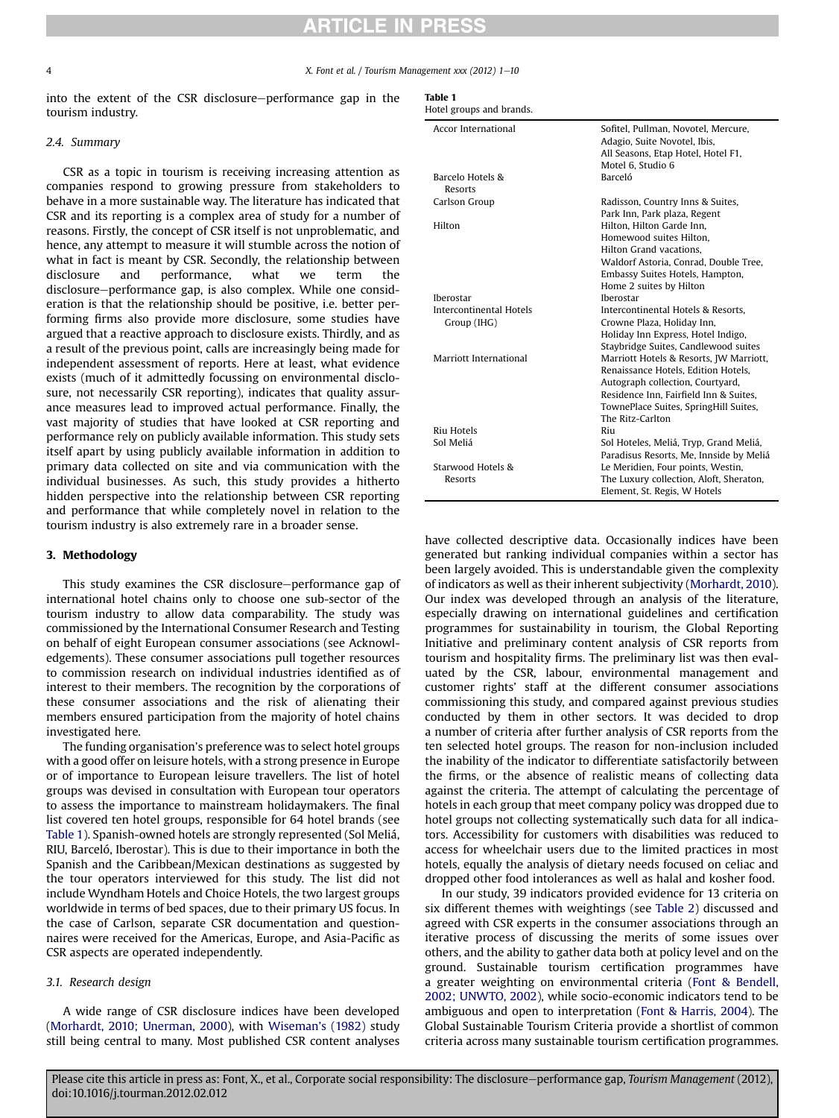# **RTICLE IN PRESS**

4  $\alpha$  X. Font et al. / Tourism Management xxx (2012) 1–10

into the extent of the CSR disclosure–performance gap in the tourism industry.

## 2.4. Summary

CSR as a topic in tourism is receiving increasing attention as companies respond to growing pressure from stakeholders to behave in a more sustainable way. The literature has indicated that CSR and its reporting is a complex area of study for a number of reasons. Firstly, the concept of CSR itself is not unproblematic, and hence, any attempt to measure it will stumble across the notion of what in fact is meant by CSR. Secondly, the relationship between disclosure and performance, what we term the disclosure-performance gap, is also complex. While one consideration is that the relationship should be positive, i.e. better performing firms also provide more disclosure, some studies have argued that a reactive approach to disclosure exists. Thirdly, and as a result of the previous point, calls are increasingly being made for independent assessment of reports. Here at least, what evidence exists (much of it admittedly focussing on environmental disclosure, not necessarily CSR reporting), indicates that quality assurance measures lead to improved actual performance. Finally, the vast majority of studies that have looked at CSR reporting and performance rely on publicly available information. This study sets itself apart by using publicly available information in addition to primary data collected on site and via communication with the individual businesses. As such, this study provides a hitherto hidden perspective into the relationship between CSR reporting and performance that while completely novel in relation to the tourism industry is also extremely rare in a broader sense.

# 3. Methodology

This study examines the CSR disclosure-performance gap of international hotel chains only to choose one sub-sector of the tourism industry to allow data comparability. The study was commissioned by the International Consumer Research and Testing on behalf of eight European consumer associations (see Acknowledgements). These consumer associations pull together resources to commission research on individual industries identified as of interest to their members. The recognition by the corporations of these consumer associations and the risk of alienating their members ensured participation from the majority of hotel chains investigated here.

The funding organisation's preference was to select hotel groups with a good offer on leisure hotels, with a strong presence in Europe or of importance to European leisure travellers. The list of hotel groups was devised in consultation with European tour operators to assess the importance to mainstream holidaymakers. The final list covered ten hotel groups, responsible for 64 hotel brands (see Table 1). Spanish-owned hotels are strongly represented (Sol Meliá, RIU, Barceló, Iberostar). This is due to their importance in both the Spanish and the Caribbean/Mexican destinations as suggested by the tour operators interviewed for this study. The list did not include Wyndham Hotels and Choice Hotels, the two largest groups worldwide in terms of bed spaces, due to their primary US focus. In the case of Carlson, separate CSR documentation and questionnaires were received for the Americas, Europe, and Asia-Pacific as CSR aspects are operated independently.

# 3.1. Research design

A wide range of CSR disclosure indices have been developed ([Morhardt, 2010; Unerman, 2000](#page-9-0)), with [Wiseman](#page-9-0)'s (1982) study still being central to many. Most published CSR content analyses

| <b>Table 1</b><br>Hotel groups and brands.    |                                                                                                                                                                                                                           |
|-----------------------------------------------|---------------------------------------------------------------------------------------------------------------------------------------------------------------------------------------------------------------------------|
| Accor International                           | Sofitel, Pullman, Novotel, Mercure,<br>Adagio, Suite Novotel, Ibis,<br>All Seasons, Etap Hotel, Hotel F1,<br>Motel 6. Studio 6                                                                                            |
| Barcelo Hotels &<br><b>Resorts</b>            | <b>Barceló</b>                                                                                                                                                                                                            |
| Carlson Group                                 | Radisson, Country Inns & Suites,<br>Park Inn, Park plaza, Regent                                                                                                                                                          |
| Hilton                                        | Hilton, Hilton Garde Inn.<br>Homewood suites Hilton.<br>Hilton Grand vacations.<br>Waldorf Astoria, Conrad, Double Tree,<br>Embassy Suites Hotels, Hampton,<br>Home 2 suites by Hilton                                    |
| Iberostar                                     | Iberostar                                                                                                                                                                                                                 |
| <b>Intercontinental Hotels</b><br>Group (IHG) | Intercontinental Hotels & Resorts.<br>Crowne Plaza, Holiday Inn,<br>Holiday Inn Express, Hotel Indigo,<br>Staybridge Suites, Candlewood suites                                                                            |
| Marriott International                        | Marriott Hotels & Resorts, JW Marriott,<br>Renaissance Hotels, Edition Hotels,<br>Autograph collection, Courtyard,<br>Residence Inn, Fairfield Inn & Suites,<br>TownePlace Suites, SpringHill Suites,<br>The Ritz-Carlton |
| Riu Hotels                                    | Riu                                                                                                                                                                                                                       |
| Sol Meliá                                     | Sol Hoteles, Meliá, Tryp, Grand Meliá,<br>Paradisus Resorts, Me, Innside by Meliá                                                                                                                                         |
| Starwood Hotels &<br>Resorts                  | Le Meridien, Four points, Westin,<br>The Luxury collection, Aloft, Sheraton,<br>Element, St. Regis, W Hotels                                                                                                              |

have collected descriptive data. Occasionally indices have been generated but ranking individual companies within a sector has been largely avoided. This is understandable given the complexity of indicators as well as their inherent subjectivity [\(Morhardt, 2010\)](#page-9-0). Our index was developed through an analysis of the literature, especially drawing on international guidelines and certification programmes for sustainability in tourism, the Global Reporting Initiative and preliminary content analysis of CSR reports from tourism and hospitality firms. The preliminary list was then evaluated by the CSR, labour, environmental management and customer rights' staff at the different consumer associations commissioning this study, and compared against previous studies conducted by them in other sectors. It was decided to drop a number of criteria after further analysis of CSR reports from the ten selected hotel groups. The reason for non-inclusion included the inability of the indicator to differentiate satisfactorily between the firms, or the absence of realistic means of collecting data against the criteria. The attempt of calculating the percentage of hotels in each group that meet company policy was dropped due to hotel groups not collecting systematically such data for all indicators. Accessibility for customers with disabilities was reduced to access for wheelchair users due to the limited practices in most hotels, equally the analysis of dietary needs focused on celiac and dropped other food intolerances as well as halal and kosher food.

In our study, 39 indicators provided evidence for 13 criteria on six different themes with weightings (see [Table 2](#page-4-0)) discussed and agreed with CSR experts in the consumer associations through an iterative process of discussing the merits of some issues over others, and the ability to gather data both at policy level and on the ground. Sustainable tourism certification programmes have a greater weighting on environmental criteria ([Font & Bendell,](#page-9-0) [2002; UNWTO, 2002](#page-9-0)), while socio-economic indicators tend to be ambiguous and open to interpretation [\(Font & Harris, 2004\)](#page-9-0). The Global Sustainable Tourism Criteria provide a shortlist of common criteria across many sustainable tourism certification programmes.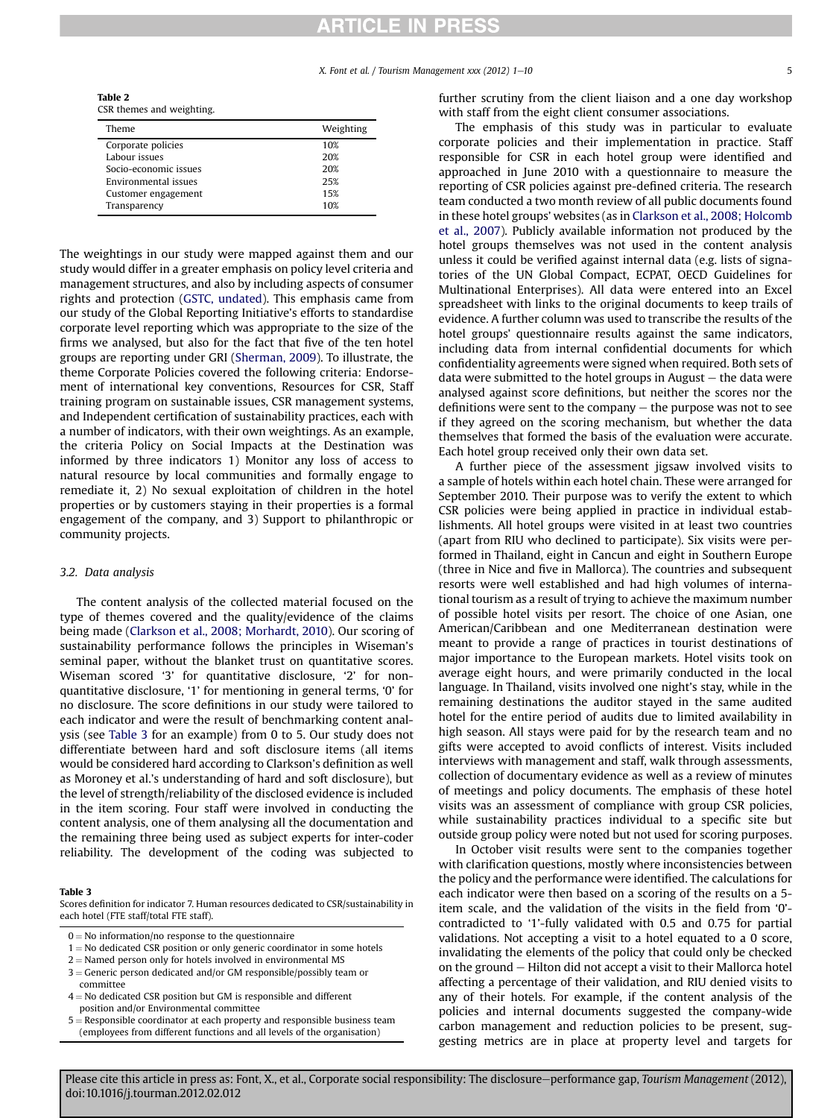# **ARTICLE IN PRESS**

 $X.$  Font et al. / Tourism Management  $xxx$  (2012)  $1\text{-}10$   $5$ 

<span id="page-4-0"></span>Table 2

| CSR themes and weighting. |  |  |  |
|---------------------------|--|--|--|
|---------------------------|--|--|--|

| Theme                 | Weighting |
|-----------------------|-----------|
| Corporate policies    | 10%       |
| Labour issues         | 20%       |
| Socio-economic issues | 20%       |
| Environmental issues  | 25%       |
| Customer engagement   | 15%       |
| Transparency          | 10%       |
|                       |           |

The weightings in our study were mapped against them and our study would differ in a greater emphasis on policy level criteria and management structures, and also by including aspects of consumer rights and protection [\(GSTC, undated](#page-9-0)). This emphasis came from our study of the Global Reporting Initiative's efforts to standardise corporate level reporting which was appropriate to the size of the firms we analysed, but also for the fact that five of the ten hotel groups are reporting under GRI [\(Sherman, 2009\)](#page-9-0). To illustrate, the theme Corporate Policies covered the following criteria: Endorsement of international key conventions, Resources for CSR, Staff training program on sustainable issues, CSR management systems, and Independent certification of sustainability practices, each with a number of indicators, with their own weightings. As an example, the criteria Policy on Social Impacts at the Destination was informed by three indicators 1) Monitor any loss of access to natural resource by local communities and formally engage to remediate it, 2) No sexual exploitation of children in the hotel properties or by customers staying in their properties is a formal engagement of the company, and 3) Support to philanthropic or community projects.

#### 3.2. Data analysis

The content analysis of the collected material focused on the type of themes covered and the quality/evidence of the claims being made [\(Clarkson et al., 2008; Morhardt, 2010\)](#page-9-0). Our scoring of sustainability performance follows the principles in Wiseman's seminal paper, without the blanket trust on quantitative scores. Wiseman scored '3' for quantitative disclosure, '2' for nonquantitative disclosure, '1' for mentioning in general terms, '0' for no disclosure. The score definitions in our study were tailored to each indicator and were the result of benchmarking content analysis (see Table 3 for an example) from 0 to 5. Our study does not differentiate between hard and soft disclosure items (all items would be considered hard according to Clarkson's definition as well as Moroney et al.'s understanding of hard and soft disclosure), but the level of strength/reliability of the disclosed evidence is included in the item scoring. Four staff were involved in conducting the content analysis, one of them analysing all the documentation and the remaining three being used as subject experts for inter-coder reliability. The development of the coding was subjected to

#### Table 3

Scores definition for indicator 7. Human resources dedicated to CSR/sustainability in each hotel (FTE staff/total FTE staff).

- $0 = No$  information/no response to the questionnaire
- $1 =$ No dedicated CSR position or only generic coordinator in some hotels
- $2 =$  Named person only for hotels involved in environmental MS
- $3 =$  Generic person dedicated and/or GM responsible/possibly team or committee
- $4 =$  No dedicated CSR position but GM is responsible and different position and/or Environmental committee
- = Responsible coordinator at each property and responsible business team (employees from different functions and all levels of the organisation)

further scrutiny from the client liaison and a one day workshop with staff from the eight client consumer associations.

The emphasis of this study was in particular to evaluate corporate policies and their implementation in practice. Staff responsible for CSR in each hotel group were identified and approached in June 2010 with a questionnaire to measure the reporting of CSR policies against pre-defined criteria. The research team conducted a two month review of all public documents found in these hotel groups' websites (as in [Clarkson et al., 2008; Holcomb](#page-9-0) [et al., 2007](#page-9-0)). Publicly available information not produced by the hotel groups themselves was not used in the content analysis unless it could be verified against internal data (e.g. lists of signatories of the UN Global Compact, ECPAT, OECD Guidelines for Multinational Enterprises). All data were entered into an Excel spreadsheet with links to the original documents to keep trails of evidence. A further column was used to transcribe the results of the hotel groups' questionnaire results against the same indicators, including data from internal confidential documents for which confidentiality agreements were signed when required. Both sets of data were submitted to the hotel groups in August  $-$  the data were analysed against score definitions, but neither the scores nor the definitions were sent to the company  $-$  the purpose was not to see if they agreed on the scoring mechanism, but whether the data themselves that formed the basis of the evaluation were accurate. Each hotel group received only their own data set.

A further piece of the assessment jigsaw involved visits to a sample of hotels within each hotel chain. These were arranged for September 2010. Their purpose was to verify the extent to which CSR policies were being applied in practice in individual establishments. All hotel groups were visited in at least two countries (apart from RIU who declined to participate). Six visits were performed in Thailand, eight in Cancun and eight in Southern Europe (three in Nice and five in Mallorca). The countries and subsequent resorts were well established and had high volumes of international tourism as a result of trying to achieve the maximum number of possible hotel visits per resort. The choice of one Asian, one American/Caribbean and one Mediterranean destination were meant to provide a range of practices in tourist destinations of major importance to the European markets. Hotel visits took on average eight hours, and were primarily conducted in the local language. In Thailand, visits involved one night's stay, while in the remaining destinations the auditor stayed in the same audited hotel for the entire period of audits due to limited availability in high season. All stays were paid for by the research team and no gifts were accepted to avoid conflicts of interest. Visits included interviews with management and staff, walk through assessments, collection of documentary evidence as well as a review of minutes of meetings and policy documents. The emphasis of these hotel visits was an assessment of compliance with group CSR policies, while sustainability practices individual to a specific site but outside group policy were noted but not used for scoring purposes.

In October visit results were sent to the companies together with clarification questions, mostly where inconsistencies between the policy and the performance were identified. The calculations for each indicator were then based on a scoring of the results on a 5 item scale, and the validation of the visits in the field from '0' contradicted to '1'-fully validated with 0.5 and 0.75 for partial validations. Not accepting a visit to a hotel equated to a 0 score, invalidating the elements of the policy that could only be checked on the ground  $-$  Hilton did not accept a visit to their Mallorca hotel affecting a percentage of their validation, and RIU denied visits to any of their hotels. For example, if the content analysis of the policies and internal documents suggested the company-wide carbon management and reduction policies to be present, suggesting metrics are in place at property level and targets for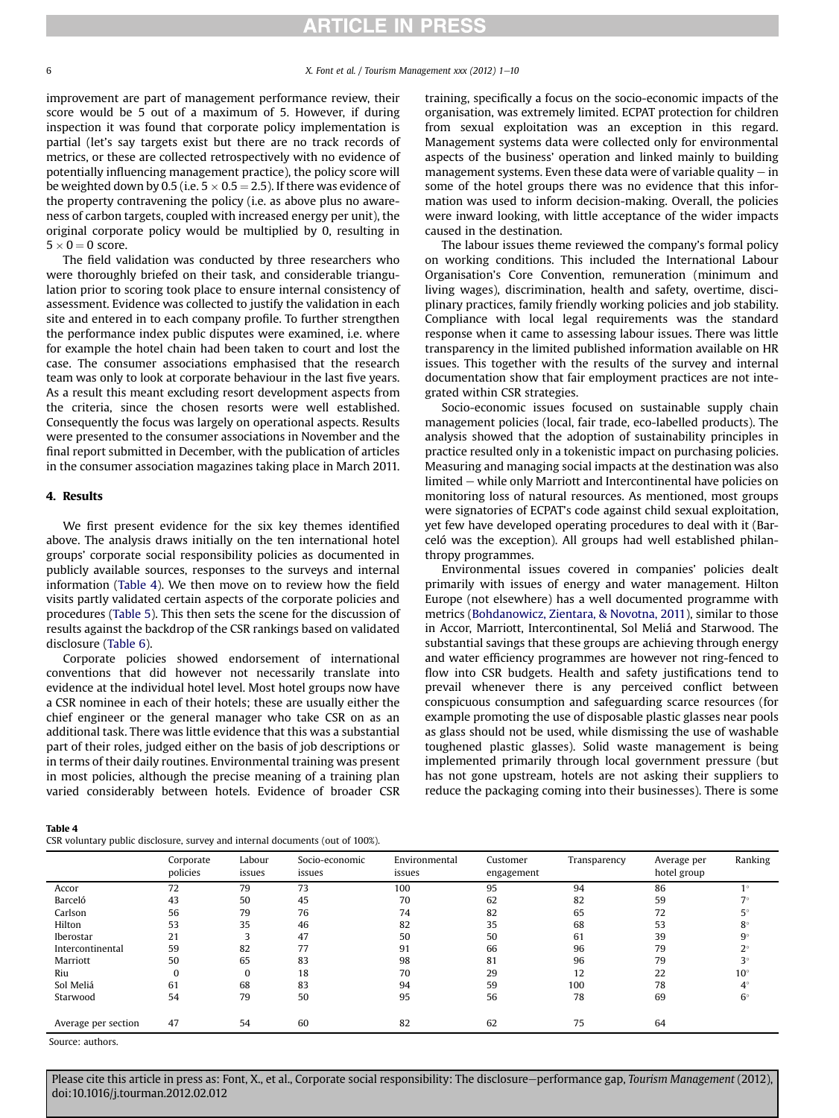# **RTICLE IN PRESS**

improvement are part of management performance review, their score would be 5 out of a maximum of 5. However, if during inspection it was found that corporate policy implementation is partial (let's say targets exist but there are no track records of metrics, or these are collected retrospectively with no evidence of potentially influencing management practice), the policy score will be weighted down by 0.5 (i.e.  $5 \times 0.5 = 2.5$ ). If there was evidence of the property contravening the policy (i.e. as above plus no awareness of carbon targets, coupled with increased energy per unit), the original corporate policy would be multiplied by 0, resulting in  $5 \times 0 = 0$  score.

The field validation was conducted by three researchers who were thoroughly briefed on their task, and considerable triangulation prior to scoring took place to ensure internal consistency of assessment. Evidence was collected to justify the validation in each site and entered in to each company profile. To further strengthen the performance index public disputes were examined, i.e. where for example the hotel chain had been taken to court and lost the case. The consumer associations emphasised that the research team was only to look at corporate behaviour in the last five years. As a result this meant excluding resort development aspects from the criteria, since the chosen resorts were well established. Consequently the focus was largely on operational aspects. Results were presented to the consumer associations in November and the final report submitted in December, with the publication of articles in the consumer association magazines taking place in March 2011.

### 4. Results

We first present evidence for the six key themes identified above. The analysis draws initially on the ten international hotel groups' corporate social responsibility policies as documented in publicly available sources, responses to the surveys and internal information (Table 4). We then move on to review how the field visits partly validated certain aspects of the corporate policies and procedures [\(Table 5](#page-6-0)). This then sets the scene for the discussion of results against the backdrop of the CSR rankings based on validated disclosure [\(Table 6](#page-6-0)).

Corporate policies showed endorsement of international conventions that did however not necessarily translate into evidence at the individual hotel level. Most hotel groups now have a CSR nominee in each of their hotels; these are usually either the chief engineer or the general manager who take CSR on as an additional task. There was little evidence that this was a substantial part of their roles, judged either on the basis of job descriptions or in terms of their daily routines. Environmental training was present in most policies, although the precise meaning of a training plan varied considerably between hotels. Evidence of broader CSR training, specifically a focus on the socio-economic impacts of the organisation, was extremely limited. ECPAT protection for children from sexual exploitation was an exception in this regard. Management systems data were collected only for environmental aspects of the business' operation and linked mainly to building management systems. Even these data were of variable quality  $-$  in some of the hotel groups there was no evidence that this information was used to inform decision-making. Overall, the policies were inward looking, with little acceptance of the wider impacts caused in the destination.

The labour issues theme reviewed the company's formal policy on working conditions. This included the International Labour Organisation's Core Convention, remuneration (minimum and living wages), discrimination, health and safety, overtime, disciplinary practices, family friendly working policies and job stability. Compliance with local legal requirements was the standard response when it came to assessing labour issues. There was little transparency in the limited published information available on HR issues. This together with the results of the survey and internal documentation show that fair employment practices are not integrated within CSR strategies.

Socio-economic issues focused on sustainable supply chain management policies (local, fair trade, eco-labelled products). The analysis showed that the adoption of sustainability principles in practice resulted only in a tokenistic impact on purchasing policies. Measuring and managing social impacts at the destination was also limited - while only Marriott and Intercontinental have policies on monitoring loss of natural resources. As mentioned, most groups were signatories of ECPAT's code against child sexual exploitation, yet few have developed operating procedures to deal with it (Barceló was the exception). All groups had well established philanthropy programmes.

Environmental issues covered in companies' policies dealt primarily with issues of energy and water management. Hilton Europe (not elsewhere) has a well documented programme with metrics [\(Bohdanowicz, Zientara, & Novotna, 2011](#page-9-0)), similar to those in Accor, Marriott, Intercontinental, Sol Meliá and Starwood. The substantial savings that these groups are achieving through energy and water efficiency programmes are however not ring-fenced to flow into CSR budgets. Health and safety justifications tend to prevail whenever there is any perceived conflict between conspicuous consumption and safeguarding scarce resources (for example promoting the use of disposable plastic glasses near pools as glass should not be used, while dismissing the use of washable toughened plastic glasses). Solid waste management is being implemented primarily through local government pressure (but has not gone upstream, hotels are not asking their suppliers to reduce the packaging coming into their businesses). There is some

Transparency Average per

Ranking

|--|

|  | CSR voluntary public disclosure, survey and internal documents (out of 100%). |  |  |
|--|-------------------------------------------------------------------------------|--|--|
|  |                                                                               |  |  |

Labour

Socio-economic

Corporate

Source: authors.

Please cite this article in press as: Font, X., et al., Corporate social responsibility: The disclosure–performance gap, Tourism Management (2012), doi:10.1016/j.tourman.2012.02.012

|                     | corporate<br>policies | Labour<br>issues | <b>OOCID CCONDITION</b><br>issues | <b>LIIVII OIIIII CHILLI</b><br>issues | Customer<br>engagement | mansparency | <i>riverage</i> per<br>hotel group | <b>Kanking</b> |
|---------------------|-----------------------|------------------|-----------------------------------|---------------------------------------|------------------------|-------------|------------------------------------|----------------|
| Accor               | 72                    | 79               | 73                                | 100                                   | 95                     | 94          | 86                                 | $1^{\circ}$    |
| Barceló             | 43                    | 50               | 45                                | 70                                    | 62                     | 82          | 59                                 |                |
| Carlson             | 56                    | 79               | 76                                | 74                                    | 82                     | 65          | 72                                 |                |
| Hilton              | 53                    | 35               | 46                                | 82                                    | 35                     | 68          | 53                                 | $8^{\circ}$    |
| Iberostar           | 21                    | 3                | 47                                | 50                                    | 50                     | 61          | 39                                 | $9^{\circ}$    |
| Intercontinental    | 59                    | 82               | 77                                | 91                                    | 66                     | 96          | 79                                 | າ∘             |
| Marriott            | 50                    | 65               | 83                                | 98                                    | 81                     | 96          | 79                                 | $3^\circ$      |
| Riu                 |                       | $\Omega$         | 18                                | 70                                    | 29                     | 12          | 22                                 | $10^{\circ}$   |
| Sol Meliá           | 61                    | 68               | 83                                | 94                                    | 59                     | 100         | 78                                 | $4^\circ$      |
| Starwood            | 54                    | 79               | 50                                | 95                                    | 56                     | 78          | 69                                 | $6^{\circ}$    |
| Average per section | 47                    | 54               | 60                                | 82                                    | 62                     | 75          | 64                                 |                |
|                     |                       |                  |                                   |                                       |                        |             |                                    |                |

Environmental

Customer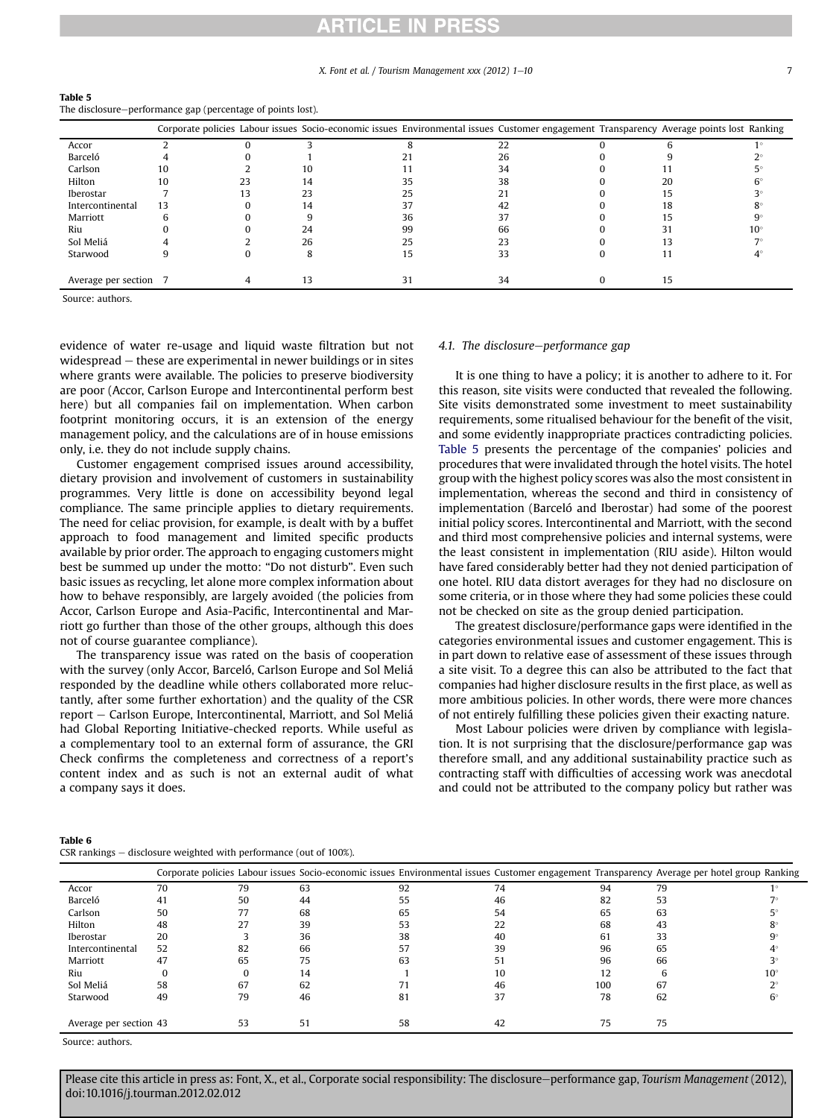# **ITICLE IN PRES**

#### $X.$  Font et al. / Tourism Management xxx (2012) 1–10  $Z$

<span id="page-6-0"></span>

| ----<br>$\sim$ |  |
|----------------|--|
|----------------|--|

The disclosure-performance gap (percentage of points lost).

|                       |    |   |    | Corporate policies Labour issues Socio-economic issues Environmental issues Customer engagement Transparency Average points lost Ranking |    |    |     |
|-----------------------|----|---|----|------------------------------------------------------------------------------------------------------------------------------------------|----|----|-----|
| Accor                 |    |   |    |                                                                                                                                          | 22 |    | ۱٥  |
| Barceló               |    |   |    |                                                                                                                                          | 26 |    |     |
| Carlson               | 10 |   | 10 |                                                                                                                                          | 34 |    |     |
| Hilton                | 10 |   | 14 | 35                                                                                                                                       | 38 | 20 |     |
| Iberostar             |    |   | 23 | 25                                                                                                                                       | 21 | 15 |     |
| Intercontinental      | 13 |   | 14 | 37                                                                                                                                       | 42 | 18 |     |
| Marriott              | 6  |   |    | 36                                                                                                                                       | 37 | 15 | ۹°  |
| Riu                   |    |   | 24 | 99                                                                                                                                       | 66 | 31 | 10° |
| Sol Meliá             |    |   | 26 | 25                                                                                                                                       | 23 | 13 |     |
| Starwood              | q  |   | ж  | 15                                                                                                                                       | 33 | 11 |     |
|                       |    |   |    |                                                                                                                                          |    |    |     |
| Average per section 7 |    | 4 | 13 | 31                                                                                                                                       | 34 | 15 |     |

Source: authors.

evidence of water re-usage and liquid waste filtration but not widespread  $-$  these are experimental in newer buildings or in sites where grants were available. The policies to preserve biodiversity are poor (Accor, Carlson Europe and Intercontinental perform best here) but all companies fail on implementation. When carbon footprint monitoring occurs, it is an extension of the energy management policy, and the calculations are of in house emissions only, i.e. they do not include supply chains.

Customer engagement comprised issues around accessibility, dietary provision and involvement of customers in sustainability programmes. Very little is done on accessibility beyond legal compliance. The same principle applies to dietary requirements. The need for celiac provision, for example, is dealt with by a buffet approach to food management and limited specific products available by prior order. The approach to engaging customers might best be summed up under the motto: "Do not disturb". Even such basic issues as recycling, let alone more complex information about how to behave responsibly, are largely avoided (the policies from Accor, Carlson Europe and Asia-Pacific, Intercontinental and Marriott go further than those of the other groups, although this does not of course guarantee compliance).

The transparency issue was rated on the basis of cooperation with the survey (only Accor, Barceló, Carlson Europe and Sol Meliá responded by the deadline while others collaborated more reluctantly, after some further exhortation) and the quality of the CSR report - Carlson Europe, Intercontinental, Marriott, and Sol Meliá had Global Reporting Initiative-checked reports. While useful as a complementary tool to an external form of assurance, the GRI Check confirms the completeness and correctness of a report's content index and as such is not an external audit of what a company says it does.

## 4.1. The disclosure-performance gap

It is one thing to have a policy; it is another to adhere to it. For this reason, site visits were conducted that revealed the following. Site visits demonstrated some investment to meet sustainability requirements, some ritualised behaviour for the benefit of the visit, and some evidently inappropriate practices contradicting policies. Table 5 presents the percentage of the companies' policies and procedures that were invalidated through the hotel visits. The hotel group with the highest policy scores was also the most consistent in implementation, whereas the second and third in consistency of implementation (Barceló and Iberostar) had some of the poorest initial policy scores. Intercontinental and Marriott, with the second and third most comprehensive policies and internal systems, were the least consistent in implementation (RIU aside). Hilton would have fared considerably better had they not denied participation of one hotel. RIU data distort averages for they had no disclosure on some criteria, or in those where they had some policies these could not be checked on site as the group denied participation.

The greatest disclosure/performance gaps were identified in the categories environmental issues and customer engagement. This is in part down to relative ease of assessment of these issues through a site visit. To a degree this can also be attributed to the fact that companies had higher disclosure results in the first place, as well as more ambitious policies. In other words, there were more chances of not entirely fulfilling these policies given their exacting nature.

Most Labour policies were driven by compliance with legislation. It is not surprising that the disclosure/performance gap was therefore small, and any additional sustainability practice such as contracting staff with difficulties of accessing work was anecdotal and could not be attributed to the company policy but rather was

| Table 6                                                            |  |
|--------------------------------------------------------------------|--|
| CSR rankings – disclosure weighted with performance (out of 100%). |  |

|                        |    |    |    | Corporate policies Labour issues Socio-economic issues Environmental issues Customer engagement Transparency Average per hotel group Ranking |    |     |    |     |
|------------------------|----|----|----|----------------------------------------------------------------------------------------------------------------------------------------------|----|-----|----|-----|
| Accor                  | 70 | 79 | 63 | 92                                                                                                                                           | 74 | 94  | 79 | 10. |
| Barceló                | 41 | 50 | 44 | 55                                                                                                                                           | 46 | 82  | 53 |     |
| Carlson                | 50 | 77 | 68 | 65                                                                                                                                           | 54 | 65  | 63 |     |
| Hilton                 | 48 | 27 | 39 | 53                                                                                                                                           | 22 | 68  | 43 |     |
| Iberostar              | 20 |    | 36 | 38                                                                                                                                           | 40 | 61  | 33 |     |
| Intercontinental       | 52 | 82 | 66 | 57                                                                                                                                           | 39 | 96  | 65 |     |
| Marriott               | 47 | 65 | 75 | 63                                                                                                                                           | 51 | 96  | 66 |     |
| Riu                    |    | 0  | 14 |                                                                                                                                              | 10 | 12  | h  | 10° |
| Sol Meliá              | 58 | 67 | 62 | 71                                                                                                                                           | 46 | 100 | 67 |     |
| Starwood               | 49 | 79 | 46 | 81                                                                                                                                           | 37 | 78  | 62 |     |
|                        |    |    |    |                                                                                                                                              |    |     |    |     |
| Average per section 43 |    | 53 | 51 | 58                                                                                                                                           | 42 | 75  | 75 |     |

Source: authors.

Please cite this article in press as: Font, X., et al., Corporate social responsibility: The disclosure–performance gap, Tourism Management (2012), doi:10.1016/j.tourman.2012.02.012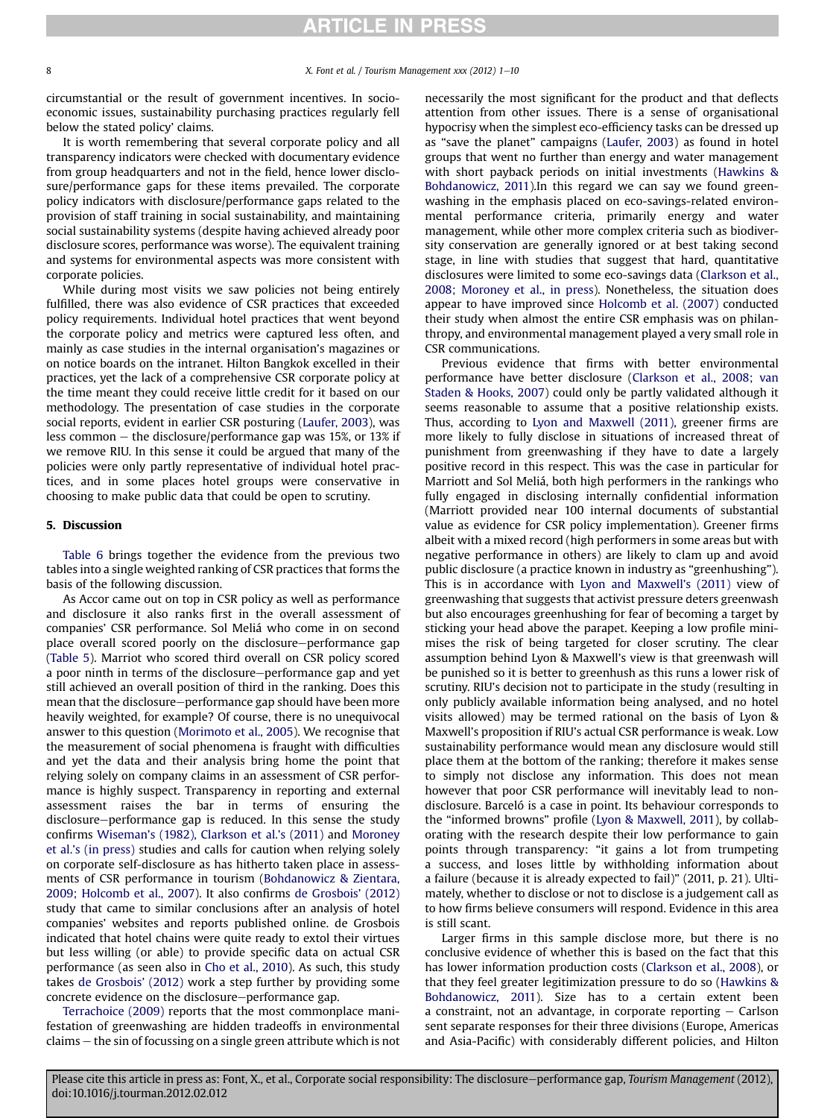circumstantial or the result of government incentives. In socioeconomic issues, sustainability purchasing practices regularly fell below the stated policy' claims.

It is worth remembering that several corporate policy and all transparency indicators were checked with documentary evidence from group headquarters and not in the field, hence lower disclosure/performance gaps for these items prevailed. The corporate policy indicators with disclosure/performance gaps related to the provision of staff training in social sustainability, and maintaining social sustainability systems (despite having achieved already poor disclosure scores, performance was worse). The equivalent training and systems for environmental aspects was more consistent with corporate policies.

While during most visits we saw policies not being entirely fulfilled, there was also evidence of CSR practices that exceeded policy requirements. Individual hotel practices that went beyond the corporate policy and metrics were captured less often, and mainly as case studies in the internal organisation's magazines or on notice boards on the intranet. Hilton Bangkok excelled in their practices, yet the lack of a comprehensive CSR corporate policy at the time meant they could receive little credit for it based on our methodology. The presentation of case studies in the corporate social reports, evident in earlier CSR posturing ([Laufer, 2003\)](#page-9-0), was less common  $-$  the disclosure/performance gap was 15%, or 13% if we remove RIU. In this sense it could be argued that many of the policies were only partly representative of individual hotel practices, and in some places hotel groups were conservative in choosing to make public data that could be open to scrutiny.

## 5. Discussion

[Table 6](#page-6-0) brings together the evidence from the previous two tables into a single weighted ranking of CSR practices that forms the basis of the following discussion.

As Accor came out on top in CSR policy as well as performance and disclosure it also ranks first in the overall assessment of companies' CSR performance. Sol Meliá who come in on second place overall scored poorly on the disclosure–performance gap ([Table 5\)](#page-6-0). Marriot who scored third overall on CSR policy scored a poor ninth in terms of the disclosure–performance gap and yet still achieved an overall position of third in the ranking. Does this mean that the disclosure-performance gap should have been more heavily weighted, for example? Of course, there is no unequivocal answer to this question ([Morimoto et al., 2005](#page-9-0)). We recognise that the measurement of social phenomena is fraught with difficulties and yet the data and their analysis bring home the point that relying solely on company claims in an assessment of CSR performance is highly suspect. Transparency in reporting and external assessment raises the bar in terms of ensuring the disclosure-performance gap is reduced. In this sense the study confirms Wiseman'[s \(1982\), Clarkson et al.](#page-9-0)'s (2011) and [Moroney](#page-9-0) et al.'[s \(in press\)](#page-9-0) studies and calls for caution when relying solely on corporate self-disclosure as has hitherto taken place in assessments of CSR performance in tourism [\(Bohdanowicz & Zientara,](#page-9-0) [2009; Holcomb et al., 2007](#page-9-0)). It also confirms [de Grosbois](#page-9-0)' (2012) study that came to similar conclusions after an analysis of hotel companies' websites and reports published online. de Grosbois indicated that hotel chains were quite ready to extol their virtues but less willing (or able) to provide specific data on actual CSR performance (as seen also in [Cho et al., 2010](#page-9-0)). As such, this study takes [de Grosbois](#page-9-0)' (2012) work a step further by providing some concrete evidence on the disclosure-performance gap.

[Terrachoice \(2009\)](#page-9-0) reports that the most commonplace manifestation of greenwashing are hidden tradeoffs in environmental claims e the sin of focussing on a single green attribute which is not necessarily the most significant for the product and that deflects attention from other issues. There is a sense of organisational hypocrisy when the simplest eco-efficiency tasks can be dressed up as "save the planet" campaigns ([Laufer, 2003\)](#page-9-0) as found in hotel groups that went no further than energy and water management with short payback periods on initial investments ([Hawkins &](#page-9-0) [Bohdanowicz, 2011](#page-9-0)).In this regard we can say we found greenwashing in the emphasis placed on eco-savings-related environmental performance criteria, primarily energy and water management, while other more complex criteria such as biodiversity conservation are generally ignored or at best taking second stage, in line with studies that suggest that hard, quantitative disclosures were limited to some eco-savings data [\(Clarkson et al.,](#page-9-0) [2008; Moroney et al., in press](#page-9-0)). Nonetheless, the situation does appear to have improved since [Holcomb et al. \(2007\)](#page-9-0) conducted their study when almost the entire CSR emphasis was on philanthropy, and environmental management played a very small role in CSR communications.

Previous evidence that firms with better environmental performance have better disclosure [\(Clarkson et al., 2008; van](#page-9-0) [Staden & Hooks, 2007\)](#page-9-0) could only be partly validated although it seems reasonable to assume that a positive relationship exists. Thus, according to [Lyon and Maxwell \(2011\)](#page-9-0), greener firms are more likely to fully disclose in situations of increased threat of punishment from greenwashing if they have to date a largely positive record in this respect. This was the case in particular for Marriott and Sol Meliá, both high performers in the rankings who fully engaged in disclosing internally confidential information (Marriott provided near 100 internal documents of substantial value as evidence for CSR policy implementation). Greener firms albeit with a mixed record (high performers in some areas but with negative performance in others) are likely to clam up and avoid public disclosure (a practice known in industry as "greenhushing"). This is in accordance with [Lyon and Maxwell](#page-9-0)'s (2011) view of greenwashing that suggests that activist pressure deters greenwash but also encourages greenhushing for fear of becoming a target by sticking your head above the parapet. Keeping a low profile minimises the risk of being targeted for closer scrutiny. The clear assumption behind Lyon & Maxwell's view is that greenwash will be punished so it is better to greenhush as this runs a lower risk of scrutiny. RIU's decision not to participate in the study (resulting in only publicly available information being analysed, and no hotel visits allowed) may be termed rational on the basis of Lyon & Maxwell's proposition if RIU's actual CSR performance is weak. Low sustainability performance would mean any disclosure would still place them at the bottom of the ranking; therefore it makes sense to simply not disclose any information. This does not mean however that poor CSR performance will inevitably lead to nondisclosure. Barceló is a case in point. Its behaviour corresponds to the "informed browns" profile [\(Lyon & Maxwell, 2011\)](#page-9-0), by collaborating with the research despite their low performance to gain points through transparency: "it gains a lot from trumpeting a success, and loses little by withholding information about a failure (because it is already expected to fail)" (2011, p. 21). Ultimately, whether to disclose or not to disclose is a judgement call as to how firms believe consumers will respond. Evidence in this area is still scant.

Larger firms in this sample disclose more, but there is no conclusive evidence of whether this is based on the fact that this has lower information production costs ([Clarkson et al., 2008](#page-9-0)), or that they feel greater legitimization pressure to do so ([Hawkins &](#page-9-0) [Bohdanowicz, 2011\)](#page-9-0). Size has to a certain extent been a constraint, not an advantage, in corporate reporting  $-$  Carlson sent separate responses for their three divisions (Europe, Americas and Asia-Pacific) with considerably different policies, and Hilton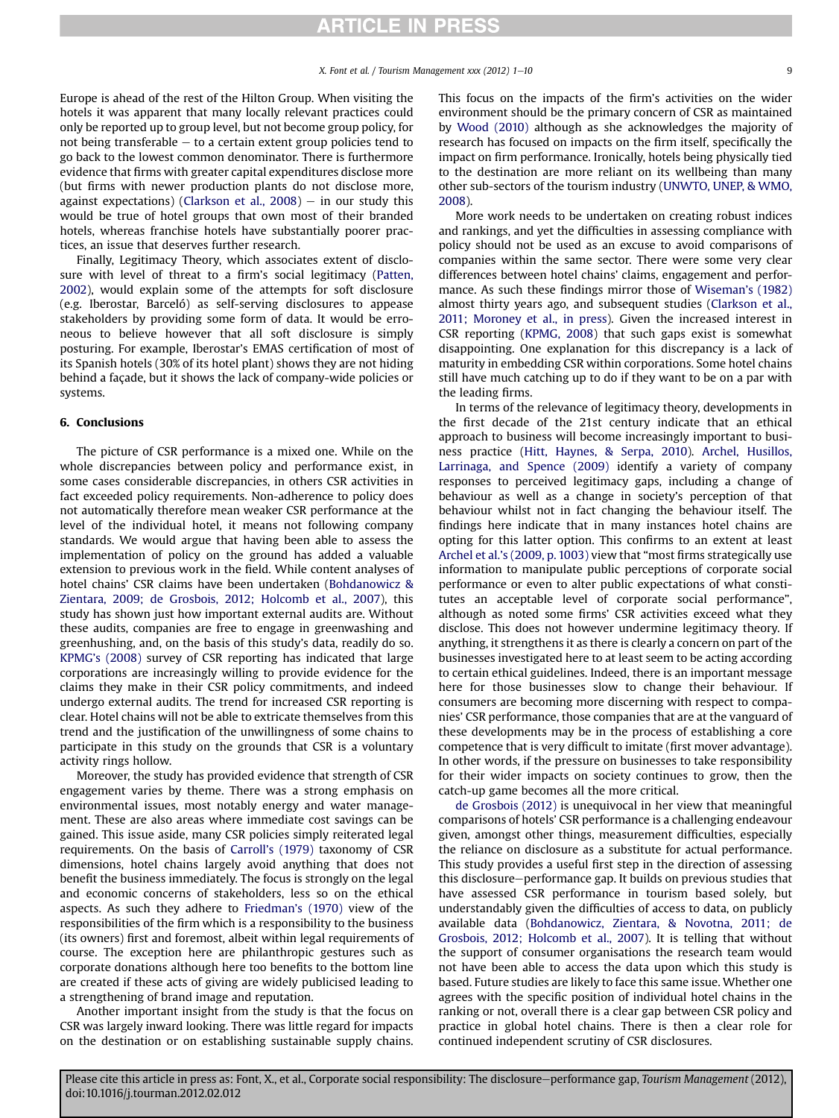Europe is ahead of the rest of the Hilton Group. When visiting the hotels it was apparent that many locally relevant practices could only be reported up to group level, but not become group policy, for not being transferable  $-$  to a certain extent group policies tend to go back to the lowest common denominator. There is furthermore evidence that firms with greater capital expenditures disclose more (but firms with newer production plants do not disclose more, against expectations) (Clarkson et al.,  $2008$ ) – in our study this would be true of hotel groups that own most of their branded hotels, whereas franchise hotels have substantially poorer practices, an issue that deserves further research.

Finally, Legitimacy Theory, which associates extent of disclosure with level of threat to a firm's social legitimacy ([Patten,](#page-9-0) [2002\)](#page-9-0), would explain some of the attempts for soft disclosure (e.g. Iberostar, Barceló) as self-serving disclosures to appease stakeholders by providing some form of data. It would be erroneous to believe however that all soft disclosure is simply posturing. For example, Iberostar's EMAS certification of most of its Spanish hotels (30% of its hotel plant) shows they are not hiding behind a façade, but it shows the lack of company-wide policies or systems.

### 6. Conclusions

The picture of CSR performance is a mixed one. While on the whole discrepancies between policy and performance exist, in some cases considerable discrepancies, in others CSR activities in fact exceeded policy requirements. Non-adherence to policy does not automatically therefore mean weaker CSR performance at the level of the individual hotel, it means not following company standards. We would argue that having been able to assess the implementation of policy on the ground has added a valuable extension to previous work in the field. While content analyses of hotel chains' CSR claims have been undertaken ([Bohdanowicz &](#page-9-0) [Zientara, 2009; de Grosbois, 2012; Holcomb et al., 2007](#page-9-0)), this study has shown just how important external audits are. Without these audits, companies are free to engage in greenwashing and greenhushing, and, on the basis of this study's data, readily do so. KPMG'[s \(2008\)](#page-9-0) survey of CSR reporting has indicated that large corporations are increasingly willing to provide evidence for the claims they make in their CSR policy commitments, and indeed undergo external audits. The trend for increased CSR reporting is clear. Hotel chains will not be able to extricate themselves from this trend and the justification of the unwillingness of some chains to participate in this study on the grounds that CSR is a voluntary activity rings hollow.

Moreover, the study has provided evidence that strength of CSR engagement varies by theme. There was a strong emphasis on environmental issues, most notably energy and water management. These are also areas where immediate cost savings can be gained. This issue aside, many CSR policies simply reiterated legal requirements. On the basis of Carroll'[s \(1979\)](#page-9-0) taxonomy of CSR dimensions, hotel chains largely avoid anything that does not benefit the business immediately. The focus is strongly on the legal and economic concerns of stakeholders, less so on the ethical aspects. As such they adhere to [Friedman](#page-9-0)'s (1970) view of the responsibilities of the firm which is a responsibility to the business (its owners) first and foremost, albeit within legal requirements of course. The exception here are philanthropic gestures such as corporate donations although here too benefits to the bottom line are created if these acts of giving are widely publicised leading to a strengthening of brand image and reputation.

Another important insight from the study is that the focus on CSR was largely inward looking. There was little regard for impacts on the destination or on establishing sustainable supply chains. This focus on the impacts of the firm's activities on the wider environment should be the primary concern of CSR as maintained by [Wood \(2010\)](#page-9-0) although as she acknowledges the majority of research has focused on impacts on the firm itself, specifically the impact on firm performance. Ironically, hotels being physically tied to the destination are more reliant on its wellbeing than many other sub-sectors of the tourism industry [\(UNWTO, UNEP, & WMO,](#page-9-0) [2008\)](#page-9-0).

More work needs to be undertaken on creating robust indices and rankings, and yet the difficulties in assessing compliance with policy should not be used as an excuse to avoid comparisons of companies within the same sector. There were some very clear differences between hotel chains' claims, engagement and performance. As such these findings mirror those of [Wiseman](#page-9-0)'s (1982) almost thirty years ago, and subsequent studies [\(Clarkson et al.,](#page-9-0) [2011; Moroney et al., in press\)](#page-9-0). Given the increased interest in CSR reporting ([KPMG, 2008](#page-9-0)) that such gaps exist is somewhat disappointing. One explanation for this discrepancy is a lack of maturity in embedding CSR within corporations. Some hotel chains still have much catching up to do if they want to be on a par with the leading firms.

In terms of the relevance of legitimacy theory, developments in the first decade of the 21st century indicate that an ethical approach to business will become increasingly important to business practice [\(Hitt, Haynes, & Serpa, 2010](#page-9-0)). [Archel, Husillos,](#page-9-0) [Larrinaga, and Spence \(2009\)](#page-9-0) identify a variety of company responses to perceived legitimacy gaps, including a change of behaviour as well as a change in society's perception of that behaviour whilst not in fact changing the behaviour itself. The findings here indicate that in many instances hotel chains are opting for this latter option. This confirms to an extent at least Archel et al.'[s \(2009, p. 1003\)](#page-9-0) view that "most firms strategically use information to manipulate public perceptions of corporate social performance or even to alter public expectations of what constitutes an acceptable level of corporate social performance", although as noted some firms' CSR activities exceed what they disclose. This does not however undermine legitimacy theory. If anything, it strengthens it as there is clearly a concern on part of the businesses investigated here to at least seem to be acting according to certain ethical guidelines. Indeed, there is an important message here for those businesses slow to change their behaviour. If consumers are becoming more discerning with respect to companies' CSR performance, those companies that are at the vanguard of these developments may be in the process of establishing a core competence that is very difficult to imitate (first mover advantage). In other words, if the pressure on businesses to take responsibility for their wider impacts on society continues to grow, then the catch-up game becomes all the more critical.

[de Grosbois \(2012\)](#page-9-0) is unequivocal in her view that meaningful comparisons of hotels' CSR performance is a challenging endeavour given, amongst other things, measurement difficulties, especially the reliance on disclosure as a substitute for actual performance. This study provides a useful first step in the direction of assessing this disclosure-performance gap. It builds on previous studies that have assessed CSR performance in tourism based solely, but understandably given the difficulties of access to data, on publicly available data [\(Bohdanowicz, Zientara, & Novotna, 2011; de](#page-9-0) [Grosbois, 2012; Holcomb et al., 2007\)](#page-9-0). It is telling that without the support of consumer organisations the research team would not have been able to access the data upon which this study is based. Future studies are likely to face this same issue. Whether one agrees with the specific position of individual hotel chains in the ranking or not, overall there is a clear gap between CSR policy and practice in global hotel chains. There is then a clear role for continued independent scrutiny of CSR disclosures.